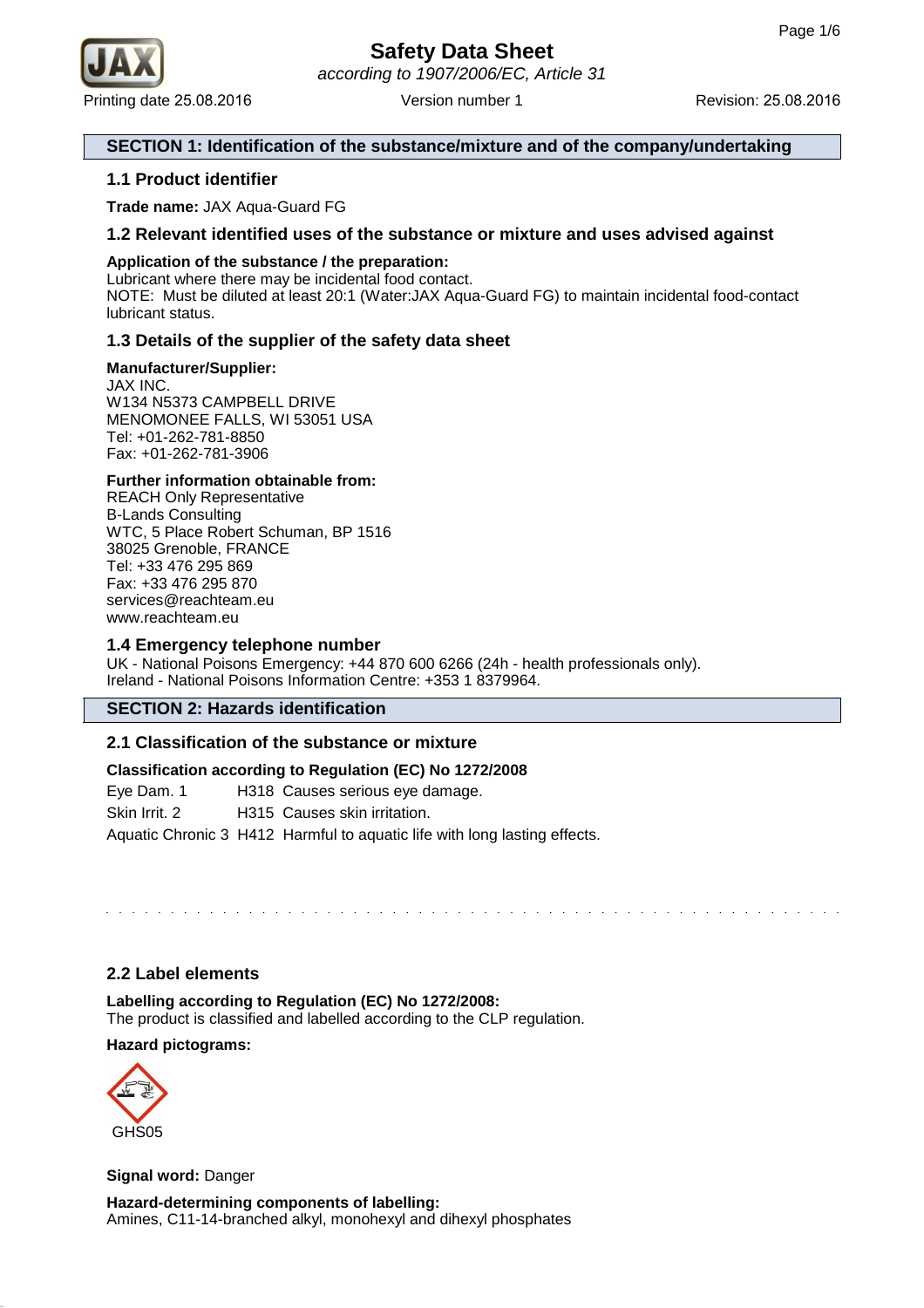

## **SECTION 1: Identification of the substance/mixture and of the company/undertaking**

## **1.1 Product identifier**

**Trade name:** JAX Aqua-Guard FG

## **1.2 Relevant identified uses of the substance or mixture and uses advised against**

## **Application of the substance / the preparation:**

Lubricant where there may be incidental food contact. NOTE: Must be diluted at least 20:1 (Water:JAX Aqua-Guard FG) to maintain incidental food-contact lubricant status.

## **1.3 Details of the supplier of the safety data sheet**

## **Manufacturer/Supplier:**

JAX INC. W134 N5373 CAMPBELL DRIVE MENOMONEE FALLS, WI 53051 USA Tel: +01-262-781-8850 Fax: +01-262-781-3906

## **Further information obtainable from:**

REACH Only Representative B-Lands Consulting WTC, 5 Place Robert Schuman, BP 1516 38025 Grenoble, FRANCE Tel: +33 476 295 869 Fax: +33 476 295 870 services@reachteam.eu www.reachteam.eu

## **1.4 Emergency telephone number**

UK - National Poisons Emergency: +44 870 600 6266 (24h - health professionals only). Ireland - National Poisons Information Centre: +353 1 8379964.

## **SECTION 2: Hazards identification**

## **2.1 Classification of the substance or mixture**

## **Classification according to Regulation (EC) No 1272/2008**

Eye Dam. 1 H318 Causes serious eye damage.

Skin Irrit. 2 H315 Causes skin irritation.

Aquatic Chronic 3 H412 Harmful to aquatic life with long lasting effects.

## **2.2 Label elements**

**Labelling according to Regulation (EC) No 1272/2008:** The product is classified and labelled according to the CLP regulation.

## **Hazard pictograms:**



**Signal word:** Danger

**Hazard-determining components of labelling:** Amines, C11-14-branched alkyl, monohexyl and dihexyl phosphates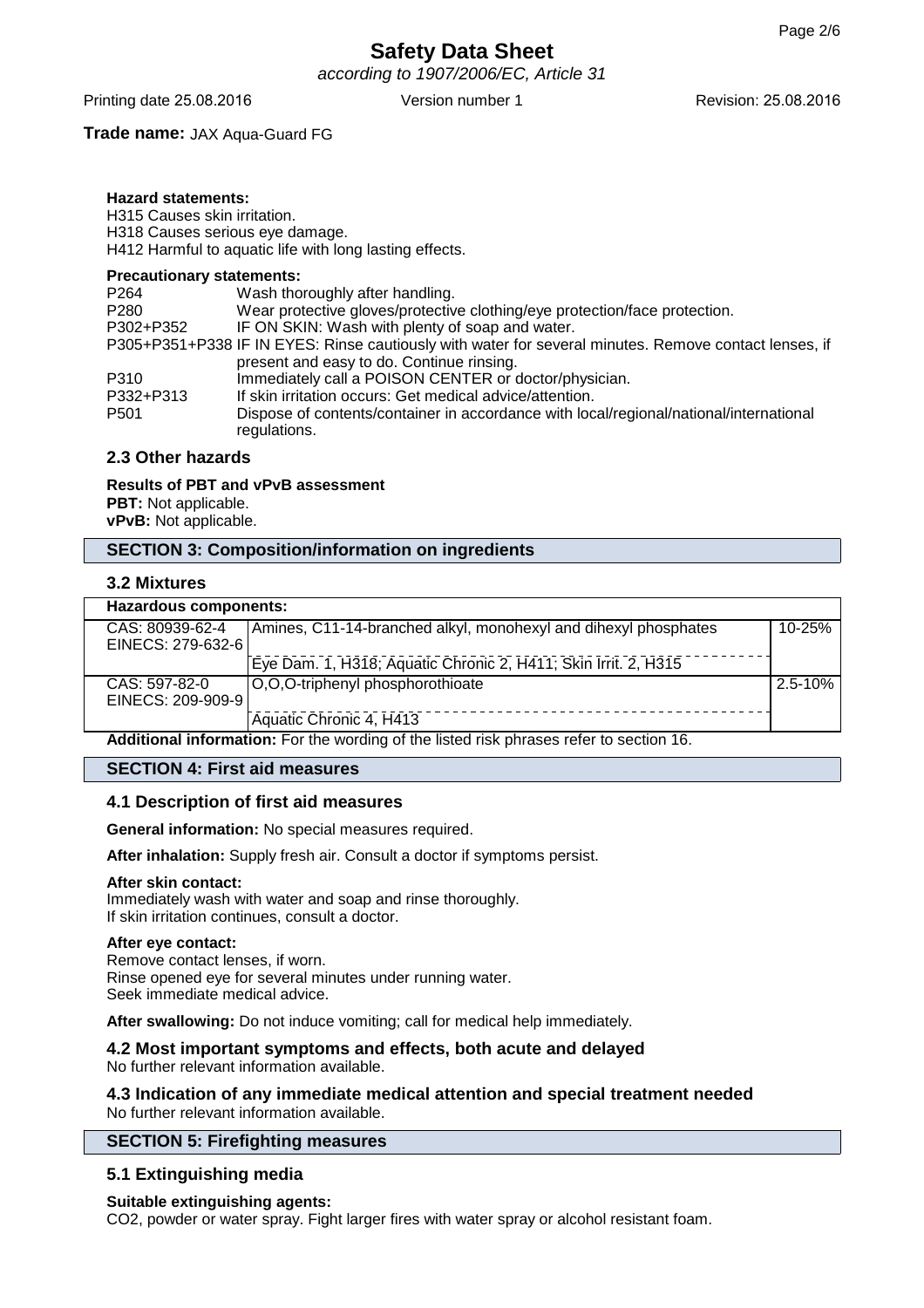according to 1907/2006/EC, Article 31

Printing date 25.08.2016 **Version number 1** Revision: 25.08.2016 **Revision: 25.08.2016** 

## **Trade name:** JAX Aqua-Guard FG

## **Hazard statements:**

H315 Causes skin irritation. H318 Causes serious eye damage. H412 Harmful to aquatic life with long lasting effects.

#### **Precautionary statements:**

| P <sub>264</sub> | Wash thoroughly after handling.                                                                        |
|------------------|--------------------------------------------------------------------------------------------------------|
| P <sub>280</sub> | Wear protective gloves/protective clothing/eye protection/face protection.                             |
| P302+P352        | IF ON SKIN: Wash with plenty of soap and water.                                                        |
|                  | P305+P351+P338 IF IN EYES: Rinse cautiously with water for several minutes. Remove contact lenses, if  |
|                  | present and easy to do. Continue rinsing.                                                              |
| P310             | Immediately call a POISON CENTER or doctor/physician.                                                  |
| P332+P313        | If skin irritation occurs: Get medical advice/attention.                                               |
| P <sub>501</sub> | Dispose of contents/container in accordance with local/regional/national/international<br>regulations. |

## **2.3 Other hazards**

#### **Results of PBT and vPvB assessment**

**PBT:** Not applicable. **vPvB:** Not applicable.

## **SECTION 3: Composition/information on ingredients**

## **3.2 Mixtures**

| Hazardous components:                                                                                             |                                                                 |             |  |
|-------------------------------------------------------------------------------------------------------------------|-----------------------------------------------------------------|-------------|--|
| CAS: 80939-62-4                                                                                                   | Amines, C11-14-branched alkyl, monohexyl and dihexyl phosphates | 10-25%      |  |
| EINECS: 279-632-6                                                                                                 |                                                                 |             |  |
|                                                                                                                   | Eye Dam. 1, H318; Aquatic Chronic 2, H411; Skin Irrit. 2, H315  |             |  |
| CAS: 597-82-0                                                                                                     | O,O,O-triphenyl phosphorothioate                                | $2.5 - 10%$ |  |
| EINECS: 209-909-9                                                                                                 |                                                                 |             |  |
|                                                                                                                   | Aquatic Chronic 4, H413                                         |             |  |
| 0 / ما يونا به مع المقام المواطن المالي المالية المواطنة من المواطنة المواطنة المواطنة المواطنة المواطنة المواطنة |                                                                 |             |  |

**Additional information:** For the wording of the listed risk phrases refer to section 16.

#### **SECTION 4: First aid measures**

### **4.1 Description of first aid measures**

**General information:** No special measures required.

**After inhalation:** Supply fresh air. Consult a doctor if symptoms persist.

#### **After skin contact:**

Immediately wash with water and soap and rinse thoroughly. If skin irritation continues, consult a doctor.

### **After eye contact:**

Remove contact lenses, if worn. Rinse opened eye for several minutes under running water. Seek immediate medical advice.

**After swallowing:** Do not induce vomiting; call for medical help immediately.

#### **4.2 Most important symptoms and effects, both acute and delayed** No further relevant information available.

## **4.3 Indication of any immediate medical attention and special treatment needed** No further relevant information available.

#### **SECTION 5: Firefighting measures**

## **5.1 Extinguishing media**

#### **Suitable extinguishing agents:**

CO2, powder or water spray. Fight larger fires with water spray or alcohol resistant foam.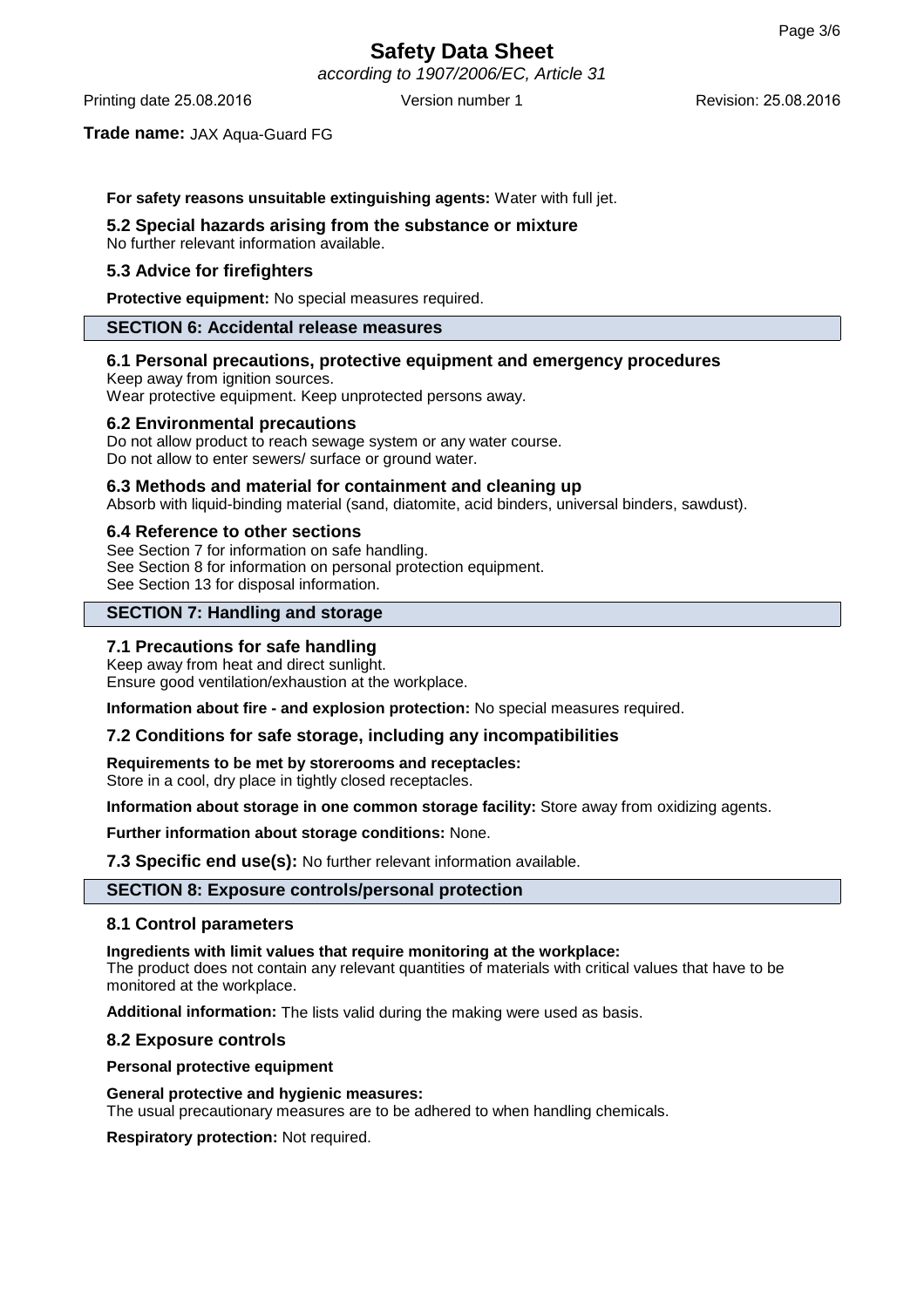according to 1907/2006/EC, Article 31

Printing date 25.08.2016 **Version number 1** Revision: 25.08.2016 **Revision: 25.08.2016** 

#### **Trade name:** JAX Aqua-Guard FG

#### **For safety reasons unsuitable extinguishing agents:** Water with full jet.

#### **5.2 Special hazards arising from the substance or mixture**

No further relevant information available.

## **5.3 Advice for firefighters**

**Protective equipment:** No special measures required.

#### **SECTION 6: Accidental release measures**

#### **6.1 Personal precautions, protective equipment and emergency procedures**

Keep away from ignition sources. Wear protective equipment. Keep unprotected persons away.

#### **6.2 Environmental precautions**

Do not allow product to reach sewage system or any water course. Do not allow to enter sewers/ surface or ground water.

#### **6.3 Methods and material for containment and cleaning up**

Absorb with liquid-binding material (sand, diatomite, acid binders, universal binders, sawdust).

#### **6.4 Reference to other sections**

See Section 7 for information on safe handling. See Section 8 for information on personal protection equipment. See Section 13 for disposal information.

## **SECTION 7: Handling and storage**

## **7.1 Precautions for safe handling**

Keep away from heat and direct sunlight. Ensure good ventilation/exhaustion at the workplace.

**Information about fire - and explosion protection:** No special measures required.

#### **7.2 Conditions for safe storage, including any incompatibilities**

**Requirements to be met by storerooms and receptacles:** Store in a cool, dry place in tightly closed receptacles.

**Information about storage in one common storage facility:** Store away from oxidizing agents.

**Further information about storage conditions:** None.

**7.3 Specific end use(s):** No further relevant information available.

## **SECTION 8: Exposure controls/personal protection**

### **8.1 Control parameters**

**Ingredients with limit values that require monitoring at the workplace:**

The product does not contain any relevant quantities of materials with critical values that have to be monitored at the workplace.

**Additional information:** The lists valid during the making were used as basis.

#### **8.2 Exposure controls**

#### **Personal protective equipment**

#### **General protective and hygienic measures:**

The usual precautionary measures are to be adhered to when handling chemicals.

**Respiratory protection:** Not required.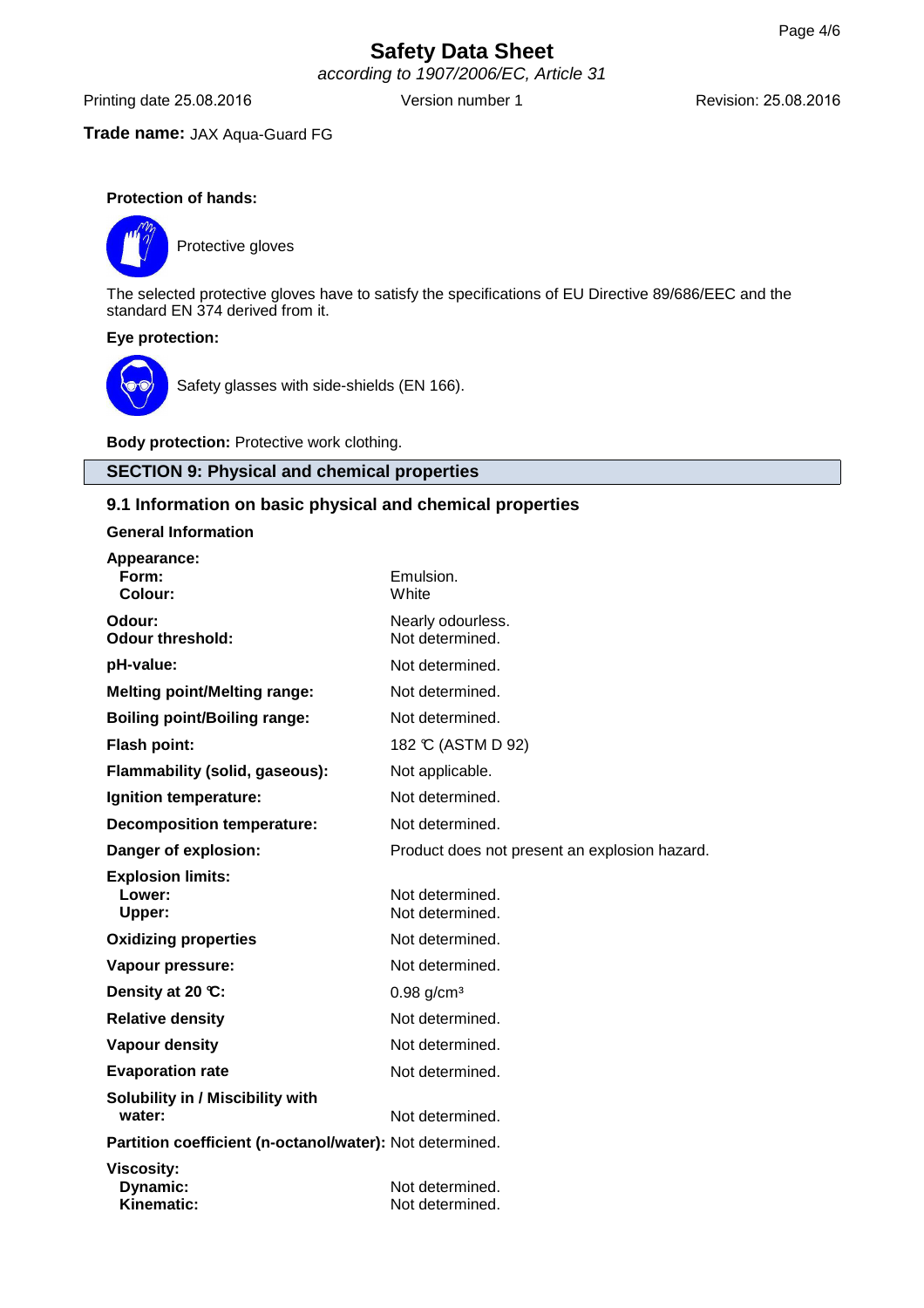according to 1907/2006/EC, Article 31

Printing date 25.08.2016 Version number 1 Revision: 25.08.2016

## **Trade name:** JAX Aqua-Guard FG

## **Protection of hands:**



Protective gloves

The selected protective gloves have to satisfy the specifications of EU Directive 89/686/EEC and the standard EN 374 derived from it.

## **Eye protection:**



Safety glasses with side-shields (EN 166).

**Body protection:** Protective work clothing.

## **SECTION 9: Physical and chemical properties**

## **9.1 Information on basic physical and chemical properties**

**General Information**

| Appearance:                                              |                                               |
|----------------------------------------------------------|-----------------------------------------------|
| Form:<br>Colour:                                         | Emulsion.<br>White                            |
| Odour:                                                   | Nearly odourless.                             |
| <b>Odour threshold:</b>                                  | Not determined.                               |
| pH-value:                                                | Not determined.                               |
| <b>Melting point/Melting range:</b>                      | Not determined.                               |
| <b>Boiling point/Boiling range:</b>                      | Not determined.                               |
| <b>Flash point:</b>                                      | 182 °C (ASTM D 92)                            |
| Flammability (solid, gaseous):                           | Not applicable.                               |
| Ignition temperature:                                    | Not determined.                               |
| <b>Decomposition temperature:</b>                        | Not determined.                               |
| Danger of explosion:                                     | Product does not present an explosion hazard. |
| <b>Explosion limits:</b>                                 |                                               |
| Lower:<br>Upper:                                         | Not determined.<br>Not determined.            |
|                                                          | Not determined.                               |
| <b>Oxidizing properties</b>                              |                                               |
| Vapour pressure:                                         | Not determined.                               |
| Density at 20 °C:                                        | $0.98$ g/cm <sup>3</sup>                      |
| <b>Relative density</b>                                  | Not determined.                               |
| <b>Vapour density</b>                                    | Not determined.                               |
| <b>Evaporation rate</b>                                  | Not determined.                               |
| Solubility in / Miscibility with                         |                                               |
| water:                                                   | Not determined.                               |
| Partition coefficient (n-octanol/water): Not determined. |                                               |
| <b>Viscosity:</b>                                        |                                               |
| Dynamic:                                                 | Not determined.                               |
| Kinematic:                                               | Not determined.                               |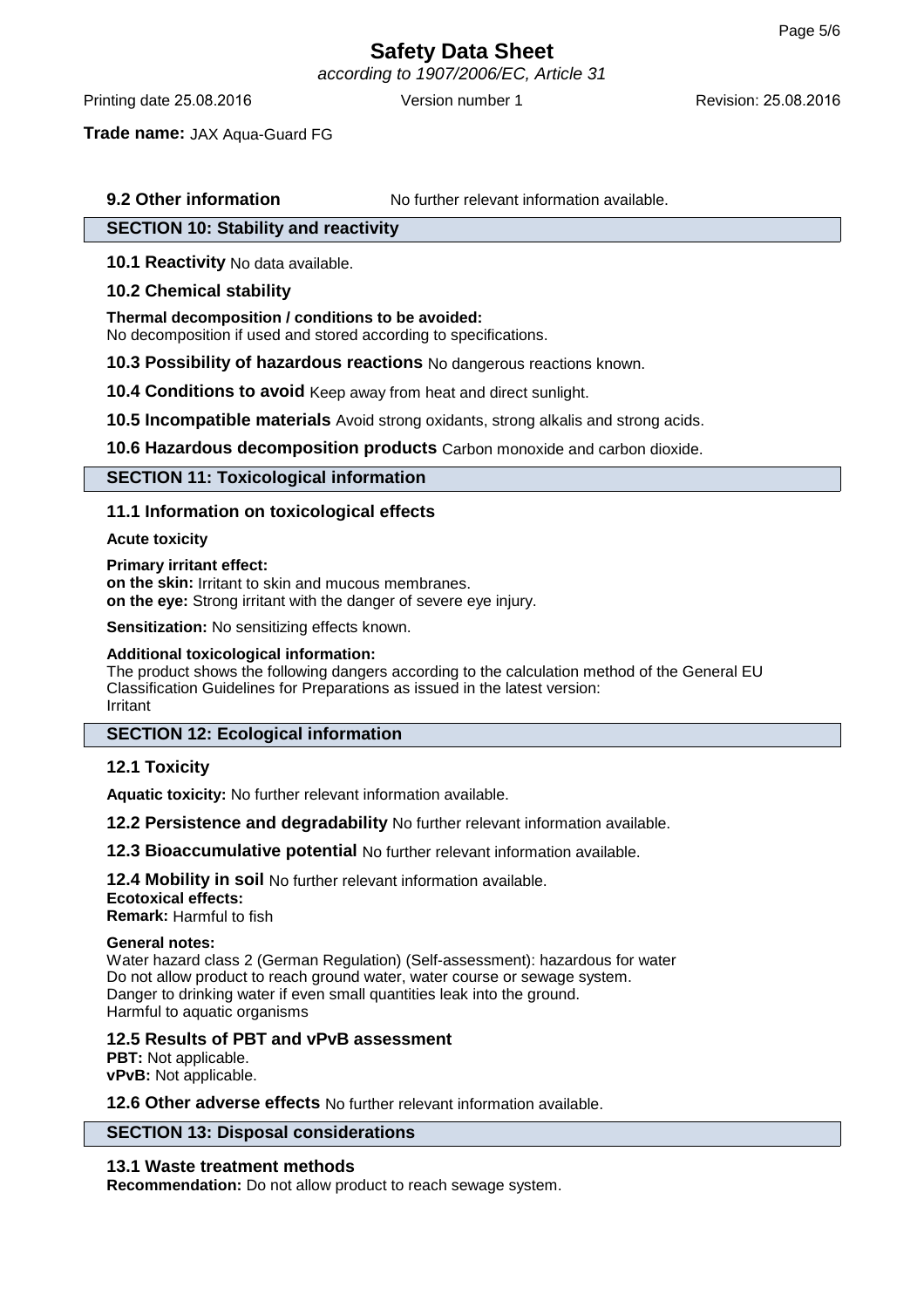according to 1907/2006/EC, Article 31

Printing date 25.08.2016 **Version number 1** Revision: 25.08.2016 **Revision: 25.08.2016** 

**Trade name:** JAX Aqua-Guard FG

## **9.2 Other information** No further relevant information available.

## **SECTION 10: Stability and reactivity**

**10.1 Reactivity** No data available.

## **10.2 Chemical stability**

### **Thermal decomposition / conditions to be avoided:**

No decomposition if used and stored according to specifications.

**10.3 Possibility of hazardous reactions** No dangerous reactions known.

**10.4 Conditions to avoid** Keep away from heat and direct sunlight.

**10.5 Incompatible materials** Avoid strong oxidants, strong alkalis and strong acids.

**10.6 Hazardous decomposition products** Carbon monoxide and carbon dioxide.

## **SECTION 11: Toxicological information**

## **11.1 Information on toxicological effects**

## **Acute toxicity**

#### **Primary irritant effect:**

**on the skin:** Irritant to skin and mucous membranes. **on the eye:** Strong irritant with the danger of severe eye injury.

**Sensitization:** No sensitizing effects known.

### **Additional toxicological information:**

The product shows the following dangers according to the calculation method of the General EU Classification Guidelines for Preparations as issued in the latest version: Irritant

## **SECTION 12: Ecological information**

## **12.1 Toxicity**

**Aquatic toxicity:** No further relevant information available.

**12.2 Persistence and degradability** No further relevant information available.

**12.3 Bioaccumulative potential** No further relevant information available.

**12.4 Mobility in soil** No further relevant information available. **Ecotoxical effects: Remark:** Harmful to fish

### **General notes:**

Water hazard class 2 (German Regulation) (Self-assessment): hazardous for water Do not allow product to reach ground water, water course or sewage system. Danger to drinking water if even small quantities leak into the ground. Harmful to aquatic organisms

**12.5 Results of PBT and vPvB assessment**

**PBT:** Not applicable. **vPvB:** Not applicable.

**12.6 Other adverse effects** No further relevant information available.

## **SECTION 13: Disposal considerations**

## **13.1 Waste treatment methods**

**Recommendation:** Do not allow product to reach sewage system.